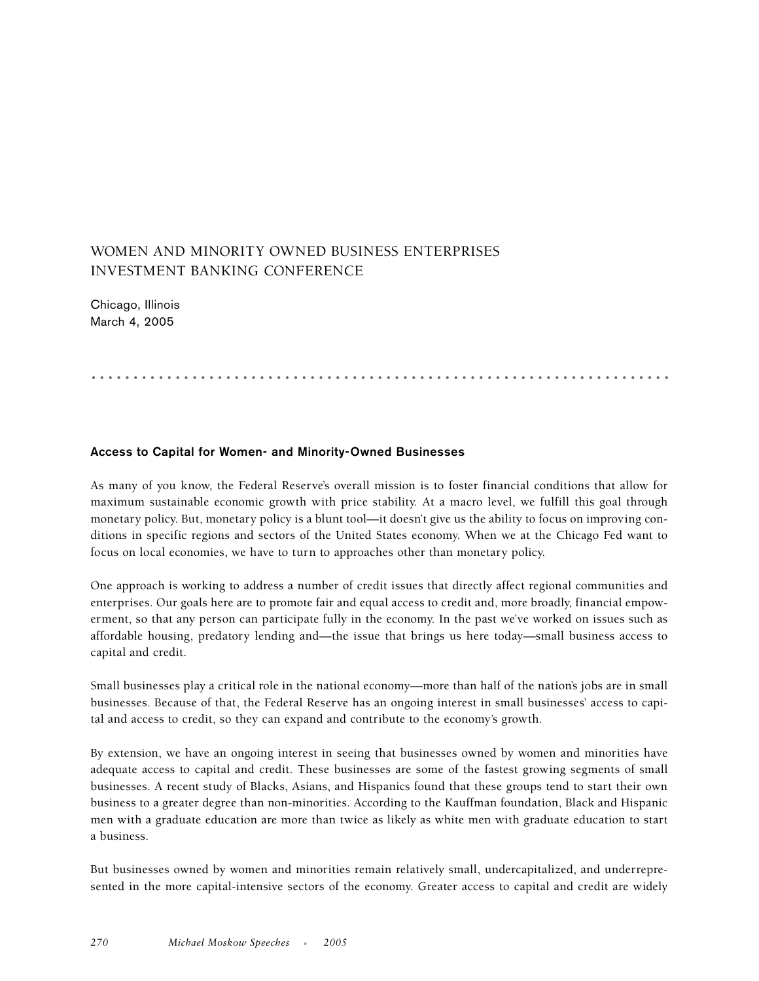## WOMEN AND MINORITY OWNED BUSINESS ENTERPRISES INVESTMENT BANKING CONFERENCE

Chicago, Illinois March 4, 2005

## .....................................................................

## **Access to Capital for Women- and Minority-Owned Businesses**

As many of you know, the Federal Reserve's overall mission is to foster financial conditions that allow for maximum sustainable economic growth with price stability. At a macro level, we fulfill this goal through monetary policy. But, monetary policy is a blunt tool—it doesn't give us the ability to focus on improving conditions in specific regions and sectors of the United States economy. When we at the Chicago Fed want to focus on local economies, we have to turn to approaches other than monetary policy.

One approach is working to address a number of credit issues that directly affect regional communities and enterprises. Our goals here are to promote fair and equal access to credit and, more broadly, financial empowerment, so that any person can participate fully in the economy. In the past we've worked on issues such as affordable housing, predatory lending and—the issue that brings us here today—small business access to capital and credit.

Small businesses play a critical role in the national economy—more than half of the nation's jobs are in small businesses. Because of that, the Federal Reserve has an ongoing interest in small businesses' access to capital and access to credit, so they can expand and contribute to the economy's growth.

By extension, we have an ongoing interest in seeing that businesses owned by women and minorities have adequate access to capital and credit. These businesses are some of the fastest growing segments of small businesses. A recent study of Blacks, Asians, and Hispanics found that these groups tend to start their own business to a greater degree than non-minorities. According to the Kauffman foundation, Black and Hispanic men with a graduate education are more than twice as likely as white men with graduate education to start a business.

But businesses owned by women and minorities remain relatively small, undercapitalized, and underrepresented in the more capital-intensive sectors of the economy. Greater access to capital and credit are widely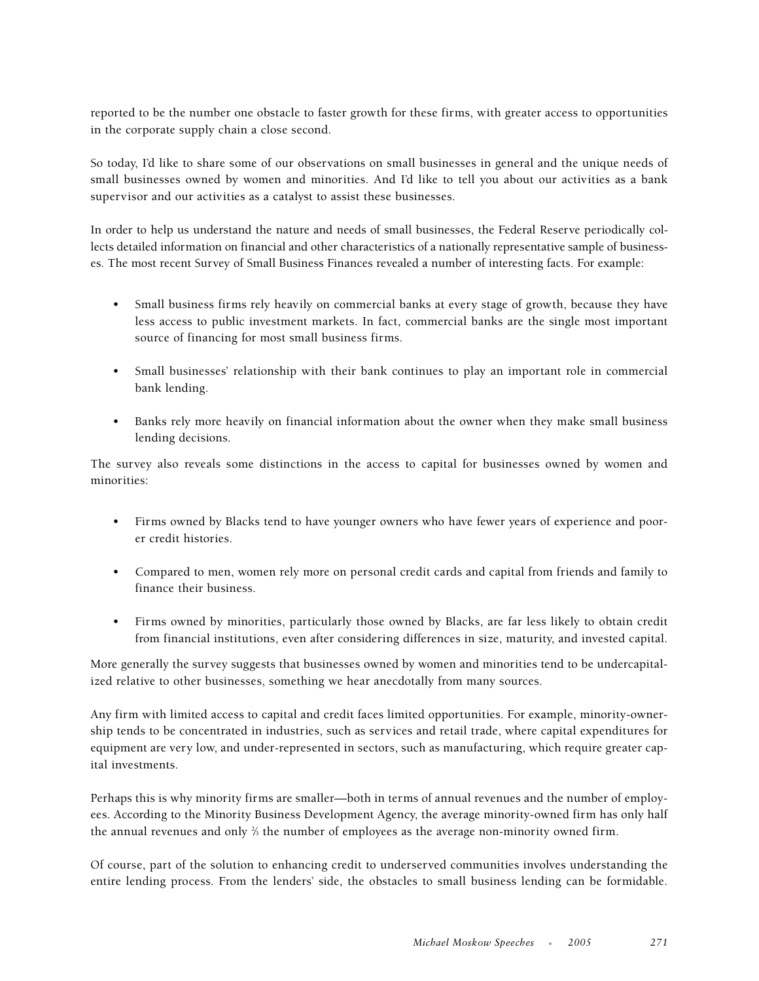reported to be the number one obstacle to faster growth for these firms, with greater access to opportunities in the corporate supply chain a close second.

So today, I'd like to share some of our observations on small businesses in general and the unique needs of small businesses owned by women and minorities. And I'd like to tell you about our activities as a bank supervisor and our activities as a catalyst to assist these businesses.

In order to help us understand the nature and needs of small businesses, the Federal Reserve periodically collects detailed information on financial and other characteristics of a nationally representative sample of businesses. The most recent Survey of Small Business Finances revealed a number of interesting facts. For example:

- Small business firms rely heavily on commercial banks at every stage of growth, because they have less access to public investment markets. In fact, commercial banks are the single most important source of financing for most small business firms.
- Small businesses' relationship with their bank continues to play an important role in commercial bank lending.
- Banks rely more heavily on financial information about the owner when they make small business lending decisions.

The survey also reveals some distinctions in the access to capital for businesses owned by women and minorities:

- Firms owned by Blacks tend to have younger owners who have fewer years of experience and poorer credit histories.
- Compared to men, women rely more on personal credit cards and capital from friends and family to finance their business.
- Firms owned by minorities, particularly those owned by Blacks, are far less likely to obtain credit from financial institutions, even after considering differences in size, maturity, and invested capital.

More generally the survey suggests that businesses owned by women and minorities tend to be undercapitalized relative to other businesses, something we hear anecdotally from many sources.

Any firm with limited access to capital and credit faces limited opportunities. For example, minority-ownership tends to be concentrated in industries, such as services and retail trade, where capital expenditures for equipment are very low, and under-represented in sectors, such as manufacturing, which require greater capital investments.

Perhaps this is why minority firms are smaller—both in terms of annual revenues and the number of employees. According to the Minority Business Development Agency, the average minority-owned firm has only half the annual revenues and only  $\frac{2}{3}$  the number of employees as the average non-minority owned firm.

Of course, part of the solution to enhancing credit to underserved communities involves understanding the entire lending process. From the lenders' side, the obstacles to small business lending can be formidable.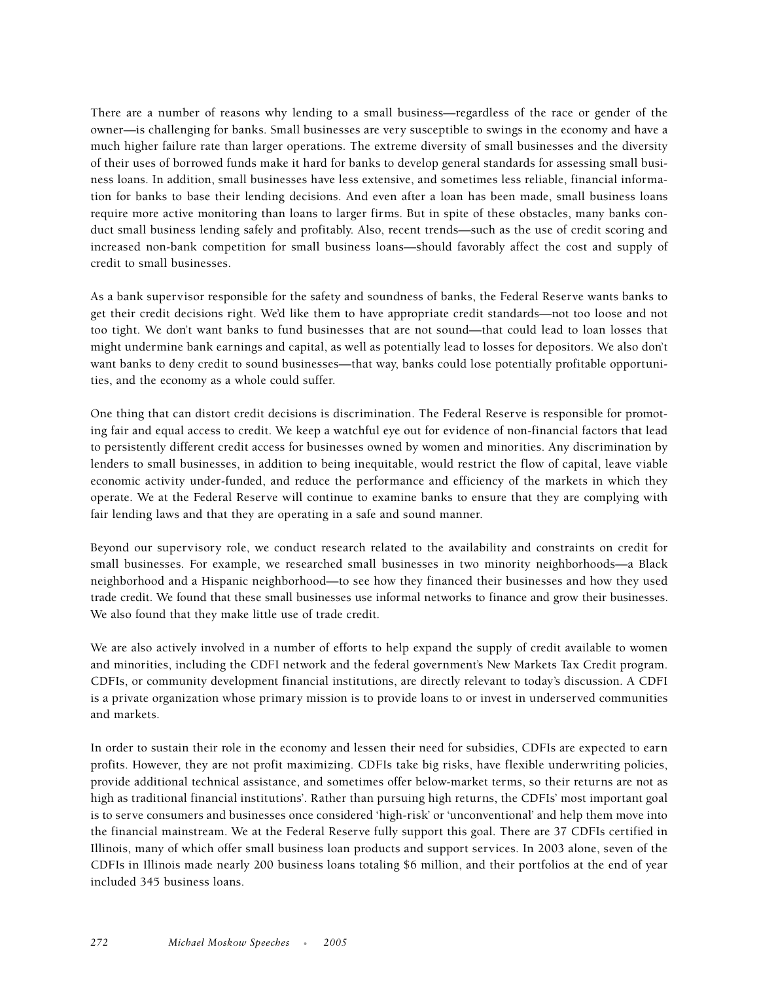There are a number of reasons why lending to a small business—regardless of the race or gender of the owner—is challenging for banks. Small businesses are very susceptible to swings in the economy and have a much higher failure rate than larger operations. The extreme diversity of small businesses and the diversity of their uses of borrowed funds make it hard for banks to develop general standards for assessing small business loans. In addition, small businesses have less extensive, and sometimes less reliable, financial information for banks to base their lending decisions. And even after a loan has been made, small business loans require more active monitoring than loans to larger firms. But in spite of these obstacles, many banks conduct small business lending safely and profitably. Also, recent trends—such as the use of credit scoring and increased non-bank competition for small business loans—should favorably affect the cost and supply of credit to small businesses.

As a bank supervisor responsible for the safety and soundness of banks, the Federal Reserve wants banks to get their credit decisions right. We'd like them to have appropriate credit standards—not too loose and not too tight. We don't want banks to fund businesses that are not sound—that could lead to loan losses that might undermine bank earnings and capital, as well as potentially lead to losses for depositors. We also don't want banks to deny credit to sound businesses—that way, banks could lose potentially profitable opportunities, and the economy as a whole could suffer.

One thing that can distort credit decisions is discrimination. The Federal Reserve is responsible for promoting fair and equal access to credit. We keep a watchful eye out for evidence of non-financial factors that lead to persistently different credit access for businesses owned by women and minorities. Any discrimination by lenders to small businesses, in addition to being inequitable, would restrict the flow of capital, leave viable economic activity under-funded, and reduce the performance and efficiency of the markets in which they operate. We at the Federal Reserve will continue to examine banks to ensure that they are complying with fair lending laws and that they are operating in a safe and sound manner.

Beyond our supervisory role, we conduct research related to the availability and constraints on credit for small businesses. For example, we researched small businesses in two minority neighborhoods—a Black neighborhood and a Hispanic neighborhood—to see how they financed their businesses and how they used trade credit. We found that these small businesses use informal networks to finance and grow their businesses. We also found that they make little use of trade credit.

We are also actively involved in a number of efforts to help expand the supply of credit available to women and minorities, including the CDFI network and the federal government's New Markets Tax Credit program. CDFIs, or community development financial institutions, are directly relevant to today's discussion. A CDFI is a private organization whose primary mission is to provide loans to or invest in underserved communities and markets.

In order to sustain their role in the economy and lessen their need for subsidies, CDFIs are expected to earn profits. However, they are not profit maximizing. CDFIs take big risks, have flexible underwriting policies, provide additional technical assistance, and sometimes offer below-market terms, so their returns are not as high as traditional financial institutions'. Rather than pursuing high returns, the CDFIs' most important goal is to serve consumers and businesses once considered 'high-risk' or 'unconventional' and help them move into the financial mainstream. We at the Federal Reserve fully support this goal. There are 37 CDFIs certified in Illinois, many of which offer small business loan products and support services. In 2003 alone, seven of the CDFIs in Illinois made nearly 200 business loans totaling \$6 million, and their portfolios at the end of year included 345 business loans.